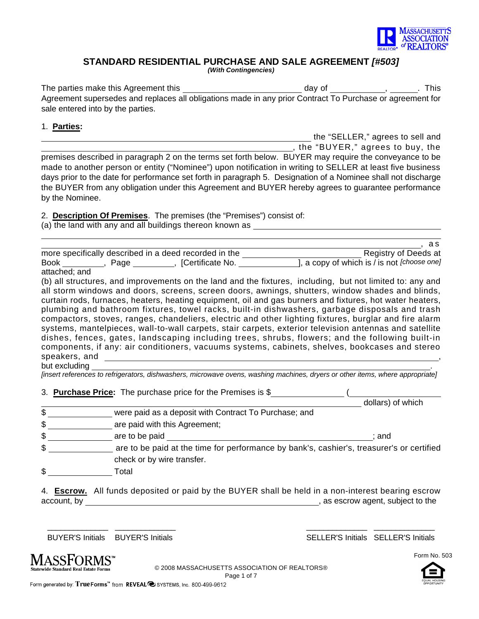

## **STANDARD RESIDENTIAL PURCHASE AND SALE AGREEMENT** *[#503]*

*(With Contingencies)*

The parties make this Agreement this  $\_\_\_\_\_\_\_\_$  day of  $\_\_\_\_\_\_\_$ ,  $\_\_\_\_\_\_$ . This Agreement supersedes and replaces all obligations made in any prior Contract To Purchase or agreement for sale entered into by the parties.

## 1. **Parties:**

the "SELLER," agrees to sell and

, the "BUYER," agrees to buy, the premises described in paragraph 2 on the terms set forth below. BUYER may require the conveyance to be made to another person or entity ("Nominee") upon notification in writing to SELLER at least five business days prior to the date for performance set forth in paragraph 5. Designation of a Nominee shall not discharge the BUYER from any obligation under this Agreement and BUYER hereby agrees to guarantee performance by the Nominee.

2. **Description Of Premises**. The premises (the "Premises") consist of:

(a) the land with any and all buildings thereon known as

|             |      | more specifically described in a deed recorded in the | Registry of Deeds at                        |
|-------------|------|-------------------------------------------------------|---------------------------------------------|
| <b>Book</b> | Page | <b>ICertificate No.</b>                               | ], a copy of which is / is not [choose one] |

attached; and

(b) all structures, and improvements on the land and the fixtures, including, but not limited to: any and all storm windows and doors, screens, screen doors, awnings, shutters, window shades and blinds, curtain rods, furnaces, heaters, heating equipment, oil and gas burners and fixtures, hot water heaters, plumbing and bathroom fixtures, towel racks, built-in dishwashers, garbage disposals and trash compactors, stoves, ranges, chandeliers, electric and other lighting fixtures, burglar and fire alarm systems, mantelpieces, wall-to-wall carpets, stair carpets, exterior television antennas and satellite dishes, fences, gates, landscaping including trees, shrubs, flowers; and the following built-in components, if any: air conditioners, vacuums systems, cabinets, shelves, bookcases and stereo speakers, and , and , and , and , and , and , and , and , and , and , and , and , and , and , and , and , and , and

but excluding .

*[insert references to refrigerators, dishwashers, microwave ovens, washing machines, dryers or other items, where appropriate]*

3. **Purchase Price:** The purchase price for the Premises is \$ (

- \$ were paid as a deposit with Contract To Purchase; and
- \$ \_\_\_\_\_\_\_\_\_\_\_\_\_\_\_\_ are paid with this Agreement;
- \$ are to be paid ; and
- \$ are to be paid at the time for performance by bank's, cashier's, treasurer's or certified check or by wire transfer.
- \$ Total

|             | 4. Escrow. All funds deposited or paid by the BUYER shall be held in a non-interest bearing escrow |  |
|-------------|----------------------------------------------------------------------------------------------------|--|
| account, by | , as escrow agent, subject to the                                                                  |  |

\_\_\_\_\_\_\_\_\_\_\_\_\_\_ \_\_\_\_\_\_\_\_\_\_\_\_\_\_ \_\_\_\_\_\_\_\_\_\_\_\_\_\_ \_\_\_\_\_\_\_\_\_\_\_\_\_\_

BUYER'S Initials BUYER'S Initials SELLER'S Initials SELLER'S Initials

dollars) of which



© 2008 MASSACHUSETTS ASSOCIATION OF REALTORS® Page 1 of 7

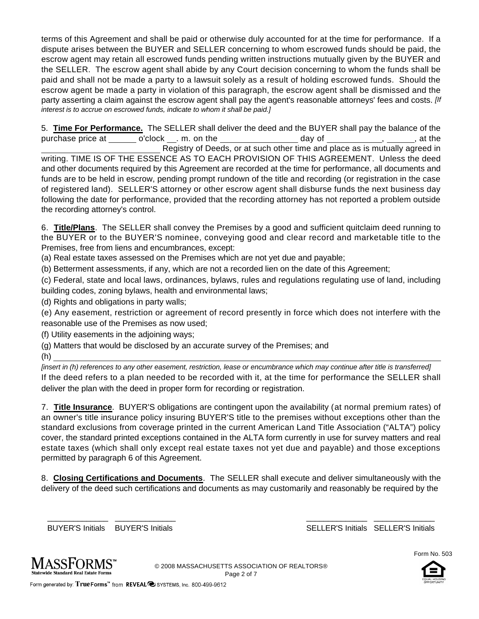terms of this Agreement and shall be paid or otherwise duly accounted for at the time for performance. If a dispute arises between the BUYER and SELLER concerning to whom escrowed funds should be paid, the escrow agent may retain all escrowed funds pending written instructions mutually given by the BUYER and the SELLER. The escrow agent shall abide by any Court decision concerning to whom the funds shall be paid and shall not be made a party to a lawsuit solely as a result of holding escrowed funds. Should the escrow agent be made a party in violation of this paragraph, the escrow agent shall be dismissed and the party asserting a claim against the escrow agent shall pay the agent's reasonable attorneys' fees and costs. *[If interest is to accrue on escrowed funds, indicate to whom it shall be paid.]*

5. **Time For Performance.** The SELLER shall deliver the deed and the BUYER shall pay the balance of the purchase price at  $\_\_\_$  o'clock  $\_\_\_$  m. on the  $\_\_\_\_\_\_\_$  day of  $\_\_\_\_\_\_\_$ ,  $\_\_\_\,,\_\_\_\_$  at the Registry of Deeds, or at such other time and place as is mutually agreed in writing. TIME IS OF THE ESSENCE AS TO EACH PROVISION OF THIS AGREEMENT. Unless the deed and other documents required by this Agreement are recorded at the time for performance, all documents and funds are to be held in escrow, pending prompt rundown of the title and recording (or registration in the case of registered land). SELLER'S attorney or other escrow agent shall disburse funds the next business day following the date for performance, provided that the recording attorney has not reported a problem outside the recording attorney's control.

6. **Title/Plans**. The SELLER shall convey the Premises by a good and sufficient quitclaim deed running to the BUYER or to the BUYER'S nominee, conveying good and clear record and marketable title to the Premises, free from liens and encumbrances, except:

(a) Real estate taxes assessed on the Premises which are not yet due and payable;

(b) Betterment assessments, if any, which are not a recorded lien on the date of this Agreement;

(c) Federal, state and local laws, ordinances, bylaws, rules and regulations regulating use of land, including building codes, zoning bylaws, health and environmental laws;

(d) Rights and obligations in party walls;

(e) Any easement, restriction or agreement of record presently in force which does not interfere with the reasonable use of the Premises as now used;

(f) Utility easements in the adjoining ways;

- (g) Matters that would be disclosed by an accurate survey of the Premises; and
- (h)

*[insert in (h) references to any other easement, restriction, lease or encumbrance which may continue after title is transferred]* If the deed refers to a plan needed to be recorded with it, at the time for performance the SELLER shall deliver the plan with the deed in proper form for recording or registration.

7. **Title Insurance**. BUYER'S obligations are contingent upon the availability (at normal premium rates) of an owner's title insurance policy insuring BUYER'S title to the premises without exceptions other than the standard exclusions from coverage printed in the current American Land Title Association ("ALTA") policy cover, the standard printed exceptions contained in the ALTA form currently in use for survey matters and real estate taxes (which shall only except real estate taxes not yet due and payable) and those exceptions permitted by paragraph 6 of this Agreement.

8. **Closing Certifications and Documents**. The SELLER shall execute and deliver simultaneously with the delivery of the deed such certifications and documents as may customarily and reasonably be required by the

\_\_\_\_\_\_\_\_\_\_\_\_\_\_ \_\_\_\_\_\_\_\_\_\_\_\_\_\_ \_\_\_\_\_\_\_\_\_\_\_\_\_\_ \_\_\_\_\_\_\_\_\_\_\_\_\_\_

BUYER'S Initials BUYER'S Initials SELLER'S Initials SELLER'S Initials





© 2008 MASSACHUSETTS ASSOCIATION OF REALTORS® Page 2 of 7

Form generated by: True Forms<sup>tor</sup> from REVEAL<sup>O</sup>SYSTEMS, Inc. 800-499-9612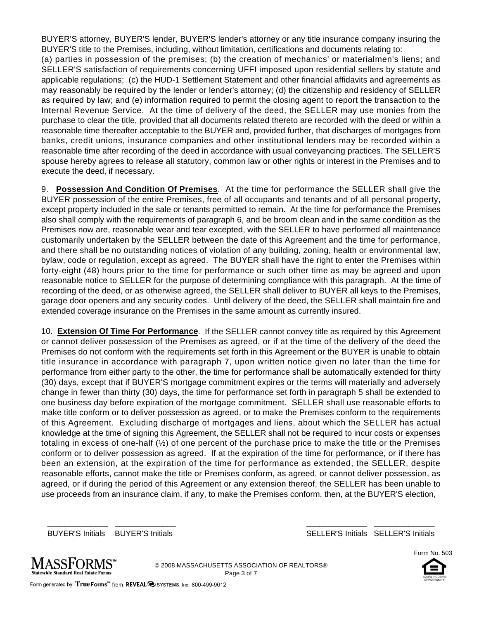BUYER'S attorney, BUYER'S lender, BUYER'S lender's attorney or any title insurance company insuring the BUYER'S title to the Premises, including, without limitation, certifications and documents relating to: (a) parties in possession of the premises; (b) the creation of mechanics' or materialmen's liens; and SELLER'S satisfaction of requirements concerning UFFI imposed upon residential sellers by statute and applicable regulations; (c) the HUD-1 Settlement Statement and other financial affidavits and agreements as may reasonably be required by the lender or lender's attorney; (d) the citizenship and residency of SELLER as required by law; and (e) information required to permit the closing agent to report the transaction to the Internal Revenue Service. At the time of delivery of the deed, the SELLER may use monies from the purchase to clear the title, provided that all documents related thereto are recorded with the deed or within a reasonable time thereafter acceptable to the BUYER and, provided further, that discharges of mortgages from banks, credit unions, insurance companies and other institutional lenders may be recorded within a reasonable time after recording of the deed in accordance with usual conveyancing practices. The SELLER'S spouse hereby agrees to release all statutory, common law or other rights or interest in the Premises and to execute the deed, if necessary.

9. **Possession And Condition Of Premises**. At the time for performance the SELLER shall give the BUYER possession of the entire Premises, free of all occupants and tenants and of all personal property, except property included in the sale or tenants permitted to remain. At the time for performance the Premises also shall comply with the requirements of paragraph 6, and be broom clean and in the same condition as the Premises now are, reasonable wear and tear excepted, with the SELLER to have performed all maintenance customarily undertaken by the SELLER between the date of this Agreement and the time for performance, and there shall be no outstanding notices of violation of any building, zoning, health or environmental law, bylaw, code or regulation, except as agreed. The BUYER shall have the right to enter the Premises within forty-eight (48) hours prior to the time for performance or such other time as may be agreed and upon reasonable notice to SELLER for the purpose of determining compliance with this paragraph. At the time of recording of the deed, or as otherwise agreed, the SELLER shall deliver to BUYER all keys to the Premises, garage door openers and any security codes. Until delivery of the deed, the SELLER shall maintain fire and extended coverage insurance on the Premises in the same amount as currently insured.

10. **Extension Of Time For Performance**. If the SELLER cannot convey title as required by this Agreement or cannot deliver possession of the Premises as agreed, or if at the time of the delivery of the deed the Premises do not conform with the requirements set forth in this Agreement or the BUYER is unable to obtain title insurance in accordance with paragraph 7, upon written notice given no later than the time for performance from either party to the other, the time for performance shall be automatically extended for thirty (30) days, except that if BUYER'S mortgage commitment expires or the terms will materially and adversely change in fewer than thirty (30) days, the time for performance set forth in paragraph 5 shall be extended to one business day before expiration of the mortgage commitment. SELLER shall use reasonable efforts to make title conform or to deliver possession as agreed, or to make the Premises conform to the requirements of this Agreement. Excluding discharge of mortgages and liens, about which the SELLER has actual knowledge at the time of signing this Agreement, the SELLER shall not be required to incur costs or expenses totaling in excess of one-half  $\mathcal{V}_2$  of one percent of the purchase price to make the title or the Premises conform or to deliver possession as agreed. If at the expiration of the time for performance, or if there has been an extension, at the expiration of the time for performance as extended, the SELLER, despite reasonable efforts, cannot make the title or Premises conform, as agreed, or cannot deliver possession, as agreed, or if during the period of this Agreement or any extension thereof, the SELLER has been unable to use proceeds from an insurance claim, if any, to make the Premises conform, then, at the BUYER'S election,

BUYER'S Initials BUYER'S Initials SELLER'S Initials SELLER'S Initials

Form No. 503



© 2008 MASSACHUSETTS ASSOCIATION OF REALTORS® Page 3 of 7

\_\_\_\_\_\_\_\_\_\_\_\_\_\_ \_\_\_\_\_\_\_\_\_\_\_\_\_\_ \_\_\_\_\_\_\_\_\_\_\_\_\_\_ \_\_\_\_\_\_\_\_\_\_\_\_\_\_

Form generated by: True Forms<sup>tw</sup> from REVEAL<sup>O</sup>SYSTEMS, Inc. 800-499-9612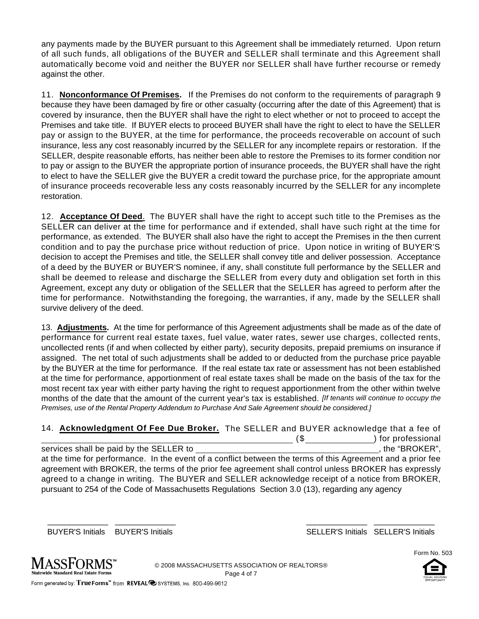any payments made by the BUYER pursuant to this Agreement shall be immediately returned. Upon return of all such funds, all obligations of the BUYER and SELLER shall terminate and this Agreement shall automatically become void and neither the BUYER nor SELLER shall have further recourse or remedy against the other.

11. **Nonconformance Of Premises.** If the Premises do not conform to the requirements of paragraph 9 because they have been damaged by fire or other casualty (occurring after the date of this Agreement) that is covered by insurance, then the BUYER shall have the right to elect whether or not to proceed to accept the Premises and take title. If BUYER elects to proceed BUYER shall have the right to elect to have the SELLER pay or assign to the BUYER, at the time for performance, the proceeds recoverable on account of such insurance, less any cost reasonably incurred by the SELLER for any incomplete repairs or restoration. If the SELLER, despite reasonable efforts, has neither been able to restore the Premises to its former condition nor to pay or assign to the BUYER the appropriate portion of insurance proceeds, the BUYER shall have the right to elect to have the SELLER give the BUYER a credit toward the purchase price, for the appropriate amount of insurance proceeds recoverable less any costs reasonably incurred by the SELLER for any incomplete restoration.

12. **Acceptance Of Deed**. The BUYER shall have the right to accept such title to the Premises as the SELLER can deliver at the time for performance and if extended, shall have such right at the time for performance, as extended. The BUYER shall also have the right to accept the Premises in the then current condition and to pay the purchase price without reduction of price. Upon notice in writing of BUYER'S decision to accept the Premises and title, the SELLER shall convey title and deliver possession. Acceptance of a deed by the BUYER or BUYER'S nominee, if any, shall constitute full performance by the SELLER and shall be deemed to release and discharge the SELLER from every duty and obligation set forth in this Agreement, except any duty or obligation of the SELLER that the SELLER has agreed to perform after the time for performance. Notwithstanding the foregoing, the warranties, if any, made by the SELLER shall survive delivery of the deed.

13. **Adjustments.** At the time for performance of this Agreement adjustments shall be made as of the date of performance for current real estate taxes, fuel value, water rates, sewer use charges, collected rents, uncollected rents (if and when collected by either party), security deposits, prepaid premiums on insurance if assigned. The net total of such adjustments shall be added to or deducted from the purchase price payable by the BUYER at the time for performance. If the real estate tax rate or assessment has not been established at the time for performance, apportionment of real estate taxes shall be made on the basis of the tax for the most recent tax year with either party having the right to request apportionment from the other within twelve months of the date that the amount of the current year's tax is established. *[If tenants will continue to occupy the Premises, use of the Rental Property Addendum to Purchase And Sale Agreement should be considered.]*

| 14. Acknowledgment Of Fee Due Broker. The SELLER and BUYER acknowledge that a fee of                        |     |                    |
|-------------------------------------------------------------------------------------------------------------|-----|--------------------|
|                                                                                                             | (\$ | ) for professional |
| services shall be paid by the SELLER to                                                                     |     | , the "BROKER",    |
| at the time for performance. In the event of a conflict between the terms of this Agreement and a prior fee |     |                    |
| agreement with BROKER, the terms of the prior fee agreement shall control unless BROKER has expressly       |     |                    |
| agreed to a change in writing. The BUYER and SELLER acknowledge receipt of a notice from BROKER,            |     |                    |
| pursuant to 254 of the Code of Massachusetts Regulations Section 3.0 (13), regarding any agency             |     |                    |

BUYER'S Initials BUYER'S Initials SELLER'S Initials SELLER'S Initials





© 2008 MASSACHUSETTS ASSOCIATION OF REALTORS® Page 4 of 7

\_\_\_\_\_\_\_\_\_\_\_\_\_\_ \_\_\_\_\_\_\_\_\_\_\_\_\_\_ \_\_\_\_\_\_\_\_\_\_\_\_\_\_ \_\_\_\_\_\_\_\_\_\_\_\_\_\_

Form generated by: True Forms<sup>"</sup> from REVEAL @ SYSTEMS, Inc. 800-499-9612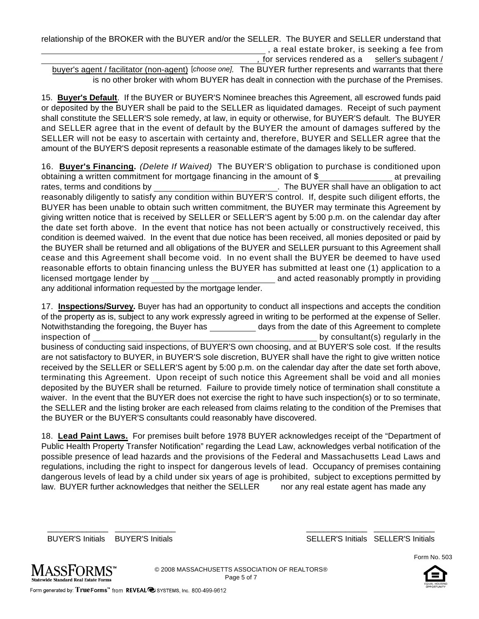relationship of the BROKER with the BUYER and/or the SELLER. The BUYER and SELLER understand that , a real estate broker, is seeking a fee from *,* for services rendered as a seller's subagent /

buyer's agent / facilitator (non-agent) [*choose one].* The BUYER further represents and warrants that there is no other broker with whom BUYER has dealt in connection with the purchase of the Premises.

15. **Buyer's Default**. If the BUYER or BUYER'S Nominee breaches this Agreement, all escrowed funds paid or deposited by the BUYER shall be paid to the SELLER as liquidated damages. Receipt of such payment shall constitute the SELLER'S sole remedy, at law, in equity or otherwise, for BUYER'S default. The BUYER and SELLER agree that in the event of default by the BUYER the amount of damages suffered by the SELLER will not be easy to ascertain with certainty and, therefore, BUYER and SELLER agree that the amount of the BUYER'S deposit represents a reasonable estimate of the damages likely to be suffered.

16. **Buyer's Financing.** *(Delete If Waived)* The BUYER'S obligation to purchase is conditioned upon obtaining a written commitment for mortgage financing in the amount of \$ at prevailing rates, terms and conditions by . The BUYER shall have an obligation to act reasonably diligently to satisfy any condition within BUYER'S control. If, despite such diligent efforts, the BUYER has been unable to obtain such written commitment, the BUYER may terminate this Agreement by giving written notice that is received by SELLER or SELLER'S agent by 5:00 p.m. on the calendar day after the date set forth above. In the event that notice has not been actually or constructively received, this condition is deemed waived. In the event that due notice has been received, all monies deposited or paid by the BUYER shall be returned and all obligations of the BUYER and SELLER pursuant to this Agreement shall cease and this Agreement shall become void. In no event shall the BUYER be deemed to have used reasonable efforts to obtain financing unless the BUYER has submitted at least one (1) application to a licensed mortgage lender by and acted reasonably promptly in providing any additional information requested by the mortgage lender.

17. **Inspections/Survey.** Buyer has had an opportunity to conduct all inspections and accepts the condition of the property as is, subject to any work expressly agreed in writing to be performed at the expense of Seller. Notwithstanding the foregoing, the Buyer has days from the date of this Agreement to complete inspection of by consultant(s) regularly in the business of conducting said inspections, of BUYER'S own choosing, and at BUYER'S sole cost. If the results are not satisfactory to BUYER, in BUYER'S sole discretion, BUYER shall have the right to give written notice received by the SELLER or SELLER'S agent by 5:00 p.m. on the calendar day after the date set forth above, terminating this Agreement. Upon receipt of such notice this Agreement shall be void and all monies deposited by the BUYER shall be returned. Failure to provide timely notice of termination shall constitute a waiver. In the event that the BUYER does not exercise the right to have such inspection(s) or to so terminate, the SELLER and the listing broker are each released from claims relating to the condition of the Premises that the BUYER or the BUYER'S consultants could reasonably have discovered.

18. **Lead Paint Laws.** For premises built before 1978 BUYER acknowledges receipt of the "Department of Public Health Property Transfer Notification" regarding the Lead Law, acknowledges verbal notification of the possible presence of lead hazards and the provisions of the Federal and Massachusetts Lead Laws and regulations, including the right to inspect for dangerous levels of lead. Occupancy of premises containing dangerous levels of lead by a child under six years of age is prohibited, subject to exceptions permitted by law. BUYER further acknowledges that neither the SELLER nor any real estate agent has made any

BUYER'S Initials BUYER'S Initials SELLER'S Initials SELLER'S Initials

Form No. 503



© 2008 MASSACHUSETTS ASSOCIATION OF REALTORS® Page 5 of 7

\_\_\_\_\_\_\_\_\_\_\_\_\_\_ \_\_\_\_\_\_\_\_\_\_\_\_\_\_ \_\_\_\_\_\_\_\_\_\_\_\_\_\_ \_\_\_\_\_\_\_\_\_\_\_\_\_\_

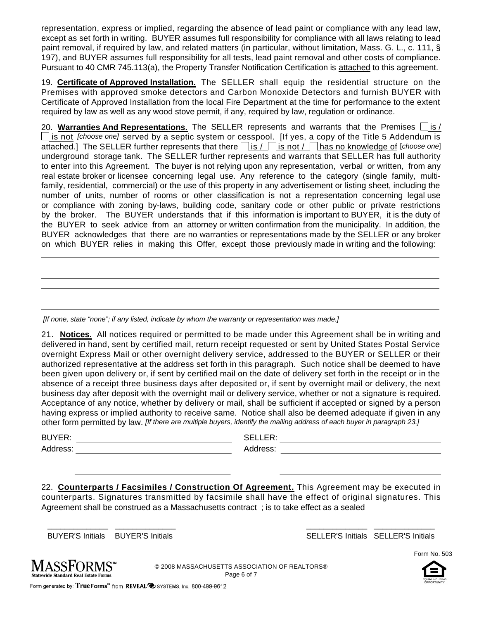representation, express or implied, regarding the absence of lead paint or compliance with any lead law, except as set forth in writing. BUYER assumes full responsibility for compliance with all laws relating to lead paint removal, if required by law, and related matters (in particular, without limitation, Mass. G. L., c. 111, § 197), and BUYER assumes full responsibility for all tests, lead paint removal and other costs of compliance. Pursuant to 40 CMR 745.113(a), the Property Transfer Notification Certification is attached to this agreement.

19. **Certificate of Approved Installation.** The SELLER shall equip the residential structure on the Premises with approved smoke detectors and Carbon Monoxide Detectors and furnish BUYER with Certificate of Approved Installation from the local Fire Department at the time for performance to the extent required by law as well as any wood stove permit, if any, required by law, regulation or ordinance.

20. Warranties And Representations. The SELLER represents and warrants that the Premises  $\Box$  is / **lis not** *[choose one]* **served by a septic system or cesspool. [If yes, a copy of the Title 5 Addendum is** attached.] The SELLER further represents that there  $\Box$  is /  $\Box$  is not /  $\Box$  has no knowledge of [*choose one*] underground storage tank. The SELLER further represents and warrants that SELLER has full authority to enter into this Agreement. The buyer is not relying upon any representation, verbal or written, from any real estate broker or licensee concerning legal use. Any reference to the category (single family, multifamily, residential, commercial) or the use of this property in any advertisement or listing sheet, including the number of units, number of rooms or other classification is not a representation concerning legal use or compliance with zoning by-laws, building code, sanitary code or other public or private restrictions by the broker. The BUYER understands that if this information is important to BUYER, it is the duty of the BUYER to seek advice from an attorney or written confirmation from the municipality. In addition, the BUYER acknowledges that there are no warranties or representations made by the SELLER or any broker on which BUYER relies in making this Offer, except those previously made in writing and the following:

*[If none, state "none"; if any listed, indicate by whom the warranty or representation was made.]*

21. **Notices.** All notices required or permitted to be made under this Agreement shall be in writing and delivered in hand, sent by certified mail, return receipt requested or sent by United States Postal Service overnight Express Mail or other overnight delivery service, addressed to the BUYER or SELLER or their authorized representative at the address set forth in this paragraph. Such notice shall be deemed to have been given upon delivery or, if sent by certified mail on the date of delivery set forth in the receipt or in the absence of a receipt three business days after deposited or, if sent by overnight mail or delivery, the next business day after deposit with the overnight mail or delivery service, whether or not a signature is required. Acceptance of any notice, whether by delivery or mail, shall be sufficient if accepted or signed by a person having express or implied authority to receive same. Notice shall also be deemed adequate if given in any other form permitted by law. *[If there are multiple buyers, identify the mailing address of each buyer in paragraph 23.]*

BUYER: SELLER:

Address: Address:

22. **Counterparts / Facsimiles / Construction Of Agreement.** This Agreement may be executed in counterparts. Signatures transmitted by facsimile shall have the effect of original signatures. This Agreement shall be construed as a Massachusetts contract ; is to take effect as a sealed

\_\_\_\_\_\_\_\_\_\_\_\_\_\_ \_\_\_\_\_\_\_\_\_\_\_\_\_\_ \_\_\_\_\_\_\_\_\_\_\_\_\_\_ \_\_\_\_\_\_\_\_\_\_\_\_\_\_

BUYER'S Initials BUYER'S Initials SELLER'S Initials SELLER'S Initials



© 2008 MASSACHUSETTS ASSOCIATION OF REALTORS® Page 6 of 7



Form No. 503